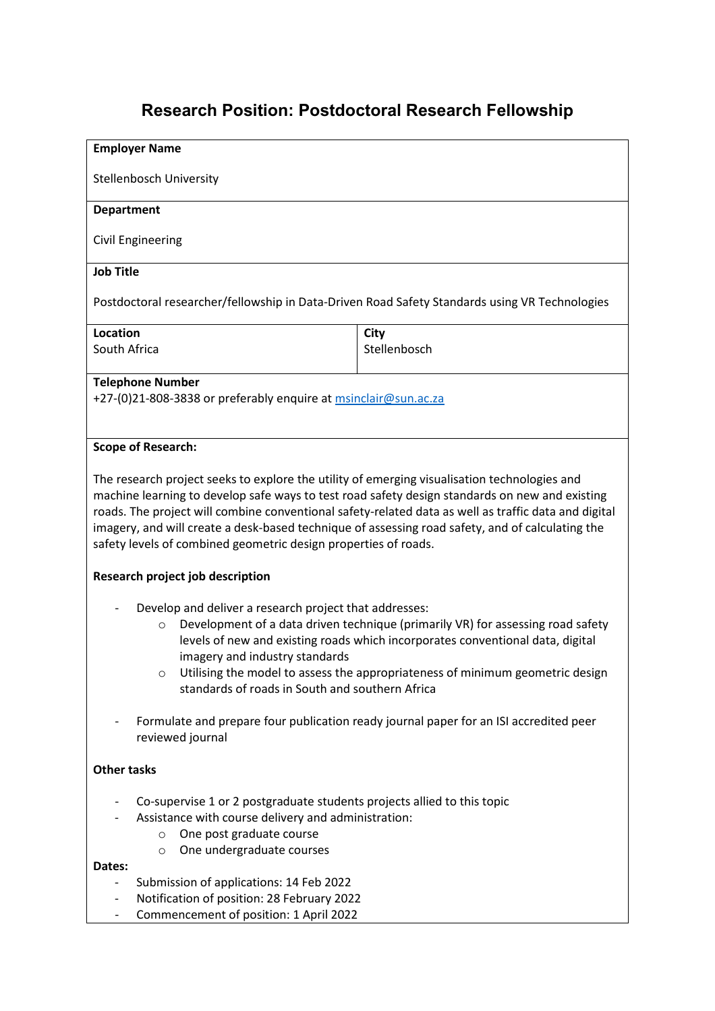# **Research Position: Postdoctoral Research Fellowship**

# **Employer Name** Stellenbosch University **Department** Civil Engineering **Job Title** Postdoctoral researcher/fellowship in Data-Driven Road Safety Standards using VR Technologies **Location** South Africa **City** Stellenbosch **Telephone Number** +27-(0)21-808-3838 or preferably enquire at [msinclair@sun.ac.za](mailto:msinclair@sun.ac.za) **Scope of Research:** The research project seeks to explore the utility of emerging visualisation technologies and machine learning to develop safe ways to test road safety design standards on new and existing roads. The project will combine conventional safety-related data as well as traffic data and digital imagery, and will create a desk-based technique of assessing road safety, and of calculating the safety levels of combined geometric design properties of roads. **Research project job description** Develop and deliver a research project that addresses: o Development of a data driven technique (primarily VR) for assessing road safety levels of new and existing roads which incorporates conventional data, digital imagery and industry standards o Utilising the model to assess the appropriateness of minimum geometric design standards of roads in South and southern Africa - Formulate and prepare four publication ready journal paper for an ISI accredited peer reviewed journal **Other tasks** - Co-supervise 1 or 2 postgraduate students projects allied to this topic Assistance with course delivery and administration: o One post graduate course o One undergraduate courses **Dates:** - Submission of applications: 14 Feb 2022 - Notification of position: 28 February 2022

- Commencement of position: 1 April 2022